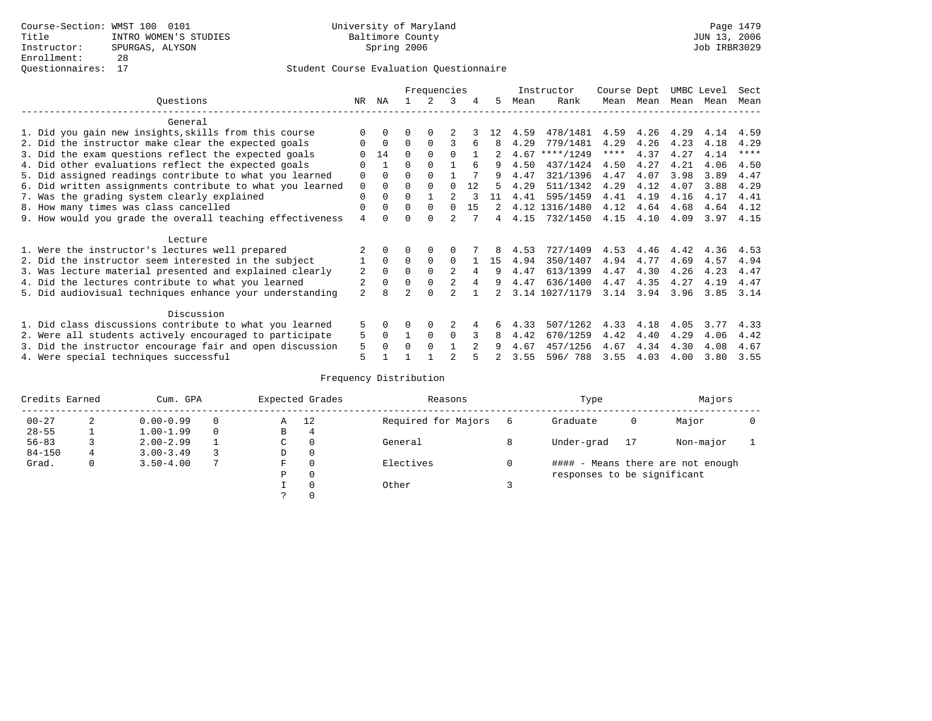|                                                           |                |              |          | Frequencies |                |    |    |      | Instructor     | Course Dept |      | UMBC Level |      | Sect        |
|-----------------------------------------------------------|----------------|--------------|----------|-------------|----------------|----|----|------|----------------|-------------|------|------------|------|-------------|
| Ouestions                                                 | NR             | ΝA           |          |             |                | 4  | 5  | Mean | Rank           | Mean        | Mean | Mean Mean  |      | Mean        |
| General                                                   |                |              |          |             |                |    |    |      |                |             |      |            |      |             |
| 1. Did you gain new insights, skills from this course     |                |              |          |             |                |    |    | 4.59 | 478/1481       | 4.59        | 4.26 | 4.29       | 4.14 | 4.59        |
| 2. Did the instructor make clear the expected goals       |                | $\Omega$     | $\Omega$ | $\Omega$    |                |    | 8  | 4.29 | 779/1481       | 4.29        | 4.26 | 4.23       | 4.18 | 4.29        |
| 3. Did the exam questions reflect the expected goals      |                | 14           | $\Omega$ |             | $\Omega$       |    |    | 4.67 | $***/1249$     | ****        | 4.37 | 4.27       | 4.14 | $***$ * * * |
| 4. Did other evaluations reflect the expected goals       | O              |              | $\Omega$ | $\Omega$    |                | 6  |    | 4.50 | 437/1424       | 4.50        | 4.27 | 4.21       | 4.06 | 4.50        |
| 5. Did assigned readings contribute to what you learned   | $\mathbf 0$    | $\Omega$     |          |             |                |    |    | 4.47 | 321/1396       | 4.47        | 4.07 | 3.98       | 3.89 | 4.47        |
| 6. Did written assignments contribute to what you learned | 0              | $\Omega$     | 0        |             |                | 12 | 5. | 4.29 | 511/1342       | 4.29        | 4.12 | 4.07       | 3.88 | 4.29        |
| 7. Was the grading system clearly explained               | $\Omega$       |              | 0        |             |                |    |    | 4.41 | 595/1459       | 4.41        | 4.19 | 4.16       | 4.17 | 4.41        |
| 8. How many times was class cancelled                     | 0              | $\Omega$     | $\Omega$ | $\Omega$    | $\cap$         | 15 |    |      | 4.12 1316/1480 | 4.12        | 4.64 | 4.68       | 4.64 | 4.12        |
| 9. How would you grade the overall teaching effectiveness | $\overline{4}$ | <sup>n</sup> | ∩        | ∩           | $\mathfrak{D}$ |    | 4  | 4.15 | 732/1450       | 4.15        | 4.10 | 4.09       | 3.97 | 4.15        |
| Lecture                                                   |                |              |          |             |                |    |    |      |                |             |      |            |      |             |
| 1. Were the instructor's lectures well prepared           |                |              |          |             |                |    |    | 4.53 | 727/1409       | 4.53        | 4.46 | 4.42       | 4.36 | 4.53        |
| 2. Did the instructor seem interested in the subject      |                | $\Omega$     | $\Omega$ | $\Omega$    | $\Omega$       |    | 15 | 4.94 | 350/1407       | 4.94        | 4.77 | 4.69       | 4.57 | 4.94        |
| 3. Was lecture material presented and explained clearly   | 2              | $\Omega$     |          |             | $\mathfrak{D}$ |    | 9  | 4.47 | 613/1399       | 4.47        | 4.30 | 4.26       | 4.23 | 4.47        |
| 4. Did the lectures contribute to what you learned        |                | $\Omega$     |          | $\Omega$    |                |    | 9  | 4.47 | 636/1400       | 4.47        | 4.35 | 4.27       | 4.19 | 4.47        |
| 5. Did audiovisual techniques enhance your understanding  | $\overline{a}$ | R            |          | $\cap$      |                |    |    |      | 3.14 1027/1179 | 3.14        | 3.94 | 3.96       | 3.85 | 3.14        |
| Discussion                                                |                |              |          |             |                |    |    |      |                |             |      |            |      |             |
| 1. Did class discussions contribute to what you learned   | 5              |              | 0        | 0           |                |    |    | 4.33 | 507/1262       | 4.33        | 4.18 | 4.05       | 3.77 | 4.33        |
| 2. Were all students actively encouraged to participate   | 5              | $\Omega$     |          | $\Omega$    | $\Omega$       |    | 8  | 4.42 | 670/1259       | 4.42        | 4.40 | 4.29       | 4.06 | 4.42        |
| 3. Did the instructor encourage fair and open discussion  | 5              | 0            | 0        | $\Omega$    |                |    |    | 4.67 | 457/1256       | 4.67        | 4.34 | 4.30       | 4.08 | 4.67        |
| 4. Were special techniques successful                     | 5              |              |          |             |                |    |    | 3.55 | 596/788        | 3.55        | 4.03 | 4.00       | 3.80 | 3.55        |

| Credits Earned |   | Cum. GPA      |               | Expected Grades | Reasons             |   | Type                        |    | Majors                            |  |
|----------------|---|---------------|---------------|-----------------|---------------------|---|-----------------------------|----|-----------------------------------|--|
| $00 - 27$      | 2 | $0.00 - 0.99$ | A             | 12              | Required for Majors | 6 | Graduate                    | 0  | Major                             |  |
| $28 - 55$      |   | $1.00 - 1.99$ | B             | 4               |                     |   |                             |    |                                   |  |
| $56 - 83$      |   | $2.00 - 2.99$ | $\sim$<br>◡   | 0               | General             |   | Under-grad                  | 17 | Non-major                         |  |
| $84 - 150$     | 4 | $3.00 - 3.49$ | D             | 0               |                     |   |                             |    |                                   |  |
| Grad.          | 0 | $3.50 - 4.00$ | F             | 0               | Electives           |   |                             |    | #### - Means there are not enough |  |
|                |   |               | Ρ             | 0               |                     |   | responses to be significant |    |                                   |  |
|                |   |               |               | 0               | Other               |   |                             |    |                                   |  |
|                |   |               | $\mathcal{L}$ |                 |                     |   |                             |    |                                   |  |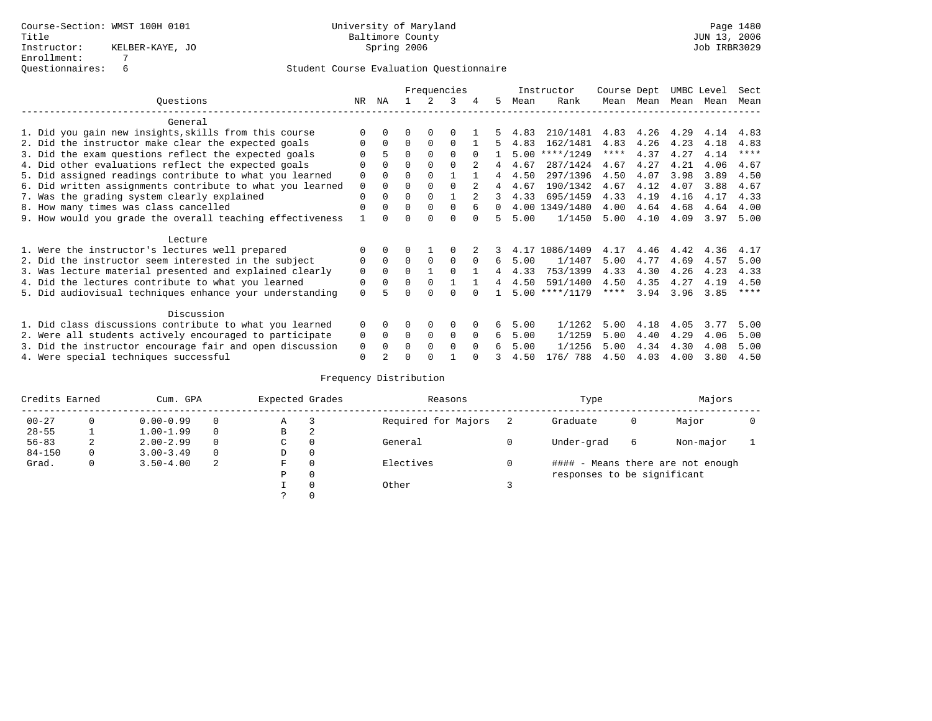|                                                           |             |          |          |          | Frequencies |          |          |      | Instructor       | Course Dept |      | UMBC Level |      | Sect        |
|-----------------------------------------------------------|-------------|----------|----------|----------|-------------|----------|----------|------|------------------|-------------|------|------------|------|-------------|
| Ouestions                                                 | NR          | ΝA       |          |          |             | 4        | 5        | Mean | Rank             | Mean        | Mean | Mean       | Mean | Mean        |
| General                                                   |             |          |          |          |             |          |          |      |                  |             |      |            |      |             |
| 1. Did you gain new insights, skills from this course     |             |          | 0        |          |             |          |          | 4.83 | 210/1481         | 4.83        | 4.26 | 4.29       | 4.14 | 4.83        |
| 2. Did the instructor make clear the expected goals       |             | $\Omega$ | $\Omega$ | $\Omega$ | $\Omega$    |          |          | 4.83 | 162/1481         | 4.83        | 4.26 | 4.23       | 4.18 | 4.83        |
| 3. Did the exam questions reflect the expected goals      |             |          | 0        | $\Omega$ | $\Omega$    |          |          | 5.00 | $***/1249$       | ****        | 4.37 | 4.27       | 4.14 | $***$ * * * |
| 4. Did other evaluations reflect the expected goals       | 0           | $\Omega$ | 0        | $\Omega$ | $\Omega$    |          | 4        | 4.67 | 287/1424         | 4.67        | 4.27 | 4.21       | 4.06 | 4.67        |
| 5. Did assigned readings contribute to what you learned   | $\mathbf 0$ |          | $\Omega$ | $\Omega$ |             |          |          | 4.50 | 297/1396         | 4.50        | 4.07 | 3.98       | 3.89 | 4.50        |
| 6. Did written assignments contribute to what you learned | 0           | $\Omega$ | O        | ∩        |             |          | 4        | 4.67 | 190/1342         | 4.67        | 4.12 | 4.07       | 3.88 | 4.67        |
| 7. Was the grading system clearly explained               | $\Omega$    |          | O        | $\Omega$ |             |          |          | 4.33 | 695/1459         | 4.33        | 4.19 | 4.16       | 4.17 | 4.33        |
| 8. How many times was class cancelled                     | $\Omega$    | $\Omega$ | 0        | $\Omega$ | $\Omega$    |          | $\Omega$ |      | 4.00 1349/1480   | 4.00        | 4.64 | 4.68       | 4.64 | 4.00        |
| 9. How would you grade the overall teaching effectiveness |             |          |          |          | U           |          | 5        | 5.00 | 1/1450           | 5.00        | 4.10 | 4.09       | 3.97 | 5.00        |
| Lecture                                                   |             |          |          |          |             |          |          |      |                  |             |      |            |      |             |
| 1. Were the instructor's lectures well prepared           |             |          |          |          |             |          |          | 4.17 | 1086/1409        | 4.17        | 4.46 | 4.42       | 4.36 | 4.17        |
| 2. Did the instructor seem interested in the subject      | 0           | $\Omega$ | $\Omega$ | $\Omega$ | 0           | $\Omega$ | 6        | 5.00 | 1/1407           | 5.00        | 4.77 | 4.69       | 4.57 | 5.00        |
| 3. Was lecture material presented and explained clearly   | 0           | $\Omega$ | $\Omega$ |          | $\Omega$    |          |          | 4.33 | 753/1399         | 4.33        | 4.30 | 4.26       | 4.23 | 4.33        |
| 4. Did the lectures contribute to what you learned        | 0           | $\Omega$ | 0        | $\Omega$ |             |          |          | 4.50 | 591/1400         | 4.50        | 4.35 | 4.27       | 4.19 | 4.50        |
| 5. Did audiovisual techniques enhance your understanding  | $\Omega$    |          |          |          |             |          |          |      | $5.00$ ****/1179 | $***$ * *   | 3.94 | 3.96       | 3.85 | $***$ * * * |
| Discussion                                                |             |          |          |          |             |          |          |      |                  |             |      |            |      |             |
| 1. Did class discussions contribute to what you learned   | $\Omega$    | 0        | 0        | $\Omega$ | $\Omega$    |          | 6        | 5.00 | 1/1262           | 5.00        | 4.18 | 4.05       | 3.77 | 5.00        |
| 2. Were all students actively encouraged to participate   | 0           | $\Omega$ | $\Omega$ | $\Omega$ | $\Omega$    | $\Omega$ | 6        | 5.00 | 1/1259           | 5.00        | 4.40 | 4.29       | 4.06 | 5.00        |
| 3. Did the instructor encourage fair and open discussion  | 0           |          | 0        | $\Omega$ | $\Omega$    | $\Omega$ |          | 5.00 | 1/1256           | 5.00        | 4.34 | 4.30       | 4.08 | 5.00        |
| 4. Were special techniques successful                     | $\Omega$    |          |          |          |             |          |          | 4.50 | 176/788          | 4.50        | 4.03 | 4.00       | 3.80 | 4.50        |

| Credits Earned |   | Cum. GPA      |   | Expected Grades |          | Reasons             | Type                        |   | Majors                            |  |
|----------------|---|---------------|---|-----------------|----------|---------------------|-----------------------------|---|-----------------------------------|--|
| $00 - 27$      | 0 | $0.00 - 0.99$ |   | Α               |          | Required for Majors | Graduate                    | 0 | Major                             |  |
| $28 - 55$      |   | $1.00 - 1.99$ |   | B               | 2        |                     |                             |   |                                   |  |
| $56 - 83$      | 2 | $2.00 - 2.99$ |   | C               | 0        | General             | Under-grad                  | 6 | Non-major                         |  |
| $84 - 150$     | 0 | $3.00 - 3.49$ |   | D               | 0        |                     |                             |   |                                   |  |
| Grad.          | 0 | $3.50 - 4.00$ | 2 | F               | 0        | Electives           |                             |   | #### - Means there are not enough |  |
|                |   |               |   | Ρ               | 0        |                     | responses to be significant |   |                                   |  |
|                |   |               |   |                 | $\Omega$ | Other               |                             |   |                                   |  |
|                |   |               |   |                 |          |                     |                             |   |                                   |  |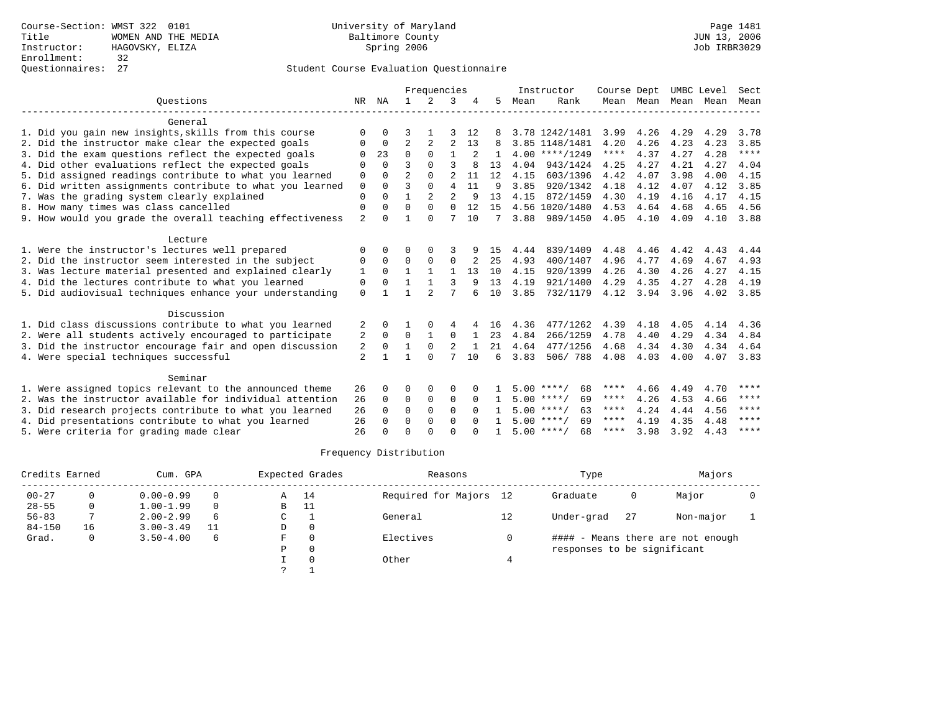|                                                           |                |              |                | Frequencies  |                |              |              |      | Instructor         | Course Dept |           | UMBC Level |      | Sect        |
|-----------------------------------------------------------|----------------|--------------|----------------|--------------|----------------|--------------|--------------|------|--------------------|-------------|-----------|------------|------|-------------|
| Ouestions                                                 | NR             | ΝA           |                | 2            | 3              |              | 5            | Mean | Rank               |             | Mean Mean | Mean Mean  |      | Mean        |
| General                                                   |                |              |                |              |                |              |              |      |                    |             |           |            |      |             |
| 1. Did you gain new insights, skills from this course     | $\Omega$       | $\Omega$     | 3              |              | 3              | 12           |              |      | 3.78 1242/1481     | 3.99        | 4.26      | 4.29       | 4.29 | 3.78        |
| 2. Did the instructor make clear the expected goals       | O              | $\mathbf 0$  | $\overline{2}$ | 2            | $\overline{2}$ | 13           | 8            |      | 3.85 1148/1481     | 4.20        | 4.26      | 4.23       | 4.23 | 3.85        |
| 3. Did the exam questions reflect the expected goals      | $\Omega$       | 23           | $\Omega$       | $\Omega$     | $\mathbf{1}$   |              |              |      | $4.00$ ****/1249   | ****        | 4.37      | 4.27       | 4.28 | $***$ * * * |
| 4. Did other evaluations reflect the expected goals       | O              | $\Omega$     | ζ              | $\Omega$     | ς              | 8            | 13           | 4.04 | 943/1424           | 4.25        | 4.27      | 4.21       | 4.27 | 4.04        |
| 5. Did assigned readings contribute to what you learned   | 0              | $\Omega$     | $\overline{a}$ | $\Omega$     | $\overline{a}$ | 11           | 12           | 4.15 | 603/1396           | 4.42        | 4.07      | 3.98       | 4.00 | 4.15        |
| 6. Did written assignments contribute to what you learned | 0              | $\Omega$     | 3              | $\Omega$     | $\overline{4}$ | 11           | 9            | 3.85 | 920/1342           | 4.18        | 4.12      | 4.07       | 4.12 | 3.85        |
| 7. Was the grading system clearly explained               | $\mathbf{0}$   | $\Omega$     | $\mathbf{1}$   |              | $\overline{a}$ | 9            | 13           | 4.15 | 872/1459           | 4.30        | 4.19      | 4.16       | 4.17 | 4.15        |
| 8. How many times was class cancelled                     | $\mathbf 0$    | $\Omega$     | $\Omega$       | $\Omega$     | $\Omega$       | 12.          | 15           |      | 4.56 1020/1480     | 4.53        | 4.64      | 4.68       | 4.65 | 4.56        |
| 9. How would you grade the overall teaching effectiveness | $\overline{a}$ | $\Omega$     | 1              | $\Omega$     | 7              | 10           | 7            | 3.88 | 989/1450           | 4.05        | 4.10      | 4.09       | 4.10 | 3.88        |
| Lecture                                                   |                |              |                |              |                |              |              |      |                    |             |           |            |      |             |
| 1. Were the instructor's lectures well prepared           | O              |              | O              |              |                |              | 15           | 4.44 | 839/1409           | 4.48        | 4.46      | 4.42       | 4.43 | 4.44        |
| 2. Did the instructor seem interested in the subject      | 0              | $\Omega$     | $\Omega$       | $\Omega$     | $\Omega$       |              | 2.5          | 4.93 | 400/1407           | 4.96        | 4.77      | 4.69       | 4.67 | 4.93        |
| 3. Was lecture material presented and explained clearly   | 1              | $\Omega$     | 1              | 1            | $\mathbf{1}$   | 13           | 10           | 4.15 | 920/1399           | 4.26        | 4.30      | 4.26       | 4.27 | 4.15        |
| 4. Did the lectures contribute to what you learned        | 0              | $\Omega$     | $\mathbf{1}$   | $\mathbf{1}$ | 3              | 9            | 13           | 4.19 | 921/1400           | 4.29        | 4.35      | 4.27       | 4.28 | 4.19        |
| 5. Did audiovisual techniques enhance your understanding  | $\mathbf 0$    |              |                |              |                |              | 10           | 3.85 | 732/1179           | 4.12        | 3.94      | 3.96       | 4.02 | 3.85        |
| Discussion                                                |                |              |                |              |                |              |              |      |                    |             |           |            |      |             |
| 1. Did class discussions contribute to what you learned   | 2              | $\Omega$     |                | 0            | 4              |              | 16           | 4.36 | 477/1262           | 4.39        | 4.18      | 4.05       | 4.14 | 4.36        |
| 2. Were all students actively encouraged to participate   | 2              | $\Omega$     | $\Omega$       | 1            | $\Omega$       | $\mathbf{1}$ | 23           | 4.84 | 266/1259           | 4.78        | 4.40      | 4.29       | 4.34 | 4.84        |
| 3. Did the instructor encourage fair and open discussion  | 2              | $\Omega$     | $\mathbf{1}$   | $\Omega$     | 2              |              | 21           | 4.64 | 477/1256           | 4.68        | 4.34      | 4.30       | 4.34 | 4.64        |
| 4. Were special techniques successful                     | $\overline{a}$ | $\mathbf{1}$ | $\mathbf{1}$   | $\Omega$     |                | 10           | 6            | 3.83 | 506/788            | 4.08        | 4.03      | 4.00       | 4.07 | 3.83        |
| Seminar                                                   |                |              |                |              |                |              |              |      |                    |             |           |            |      |             |
| 1. Were assigned topics relevant to the announced theme   | 26             | 0            | $\Omega$       | $\Omega$     | $\Omega$       |              |              |      | $5.00$ ****/<br>68 | ****        | 4.66      | 4.49       | 4.70 | ****        |
| 2. Was the instructor available for individual attention  | 26             | $\Omega$     | $\Omega$       | $\Omega$     | $\Omega$       | $\Omega$     | -1.          |      | $5.00$ ****/<br>69 | ****        | 4.26      | 4.53       | 4.66 | ****        |
| 3. Did research projects contribute to what you learned   | 26             | $\mathbf 0$  | $\mathbf 0$    | $\mathbf{0}$ | $\mathbf 0$    | $\Omega$     |              |      | $5.00$ ****/<br>63 | ****        | 4.24      | 4.44       | 4.56 | ****        |
| 4. Did presentations contribute to what you learned       | 26             | $\Omega$     | $\Omega$       | $\Omega$     | $\Omega$       | $\cap$       | $\mathbf{1}$ |      | $5.00$ ****/<br>69 | $***$ * *   | 4.19      | 4.35       | 4.48 | ****        |
| 5. Were criteria for grading made clear                   | 26             |              | ∩              | ∩            | ∩              |              |              |      | $5.00$ ****/<br>68 | ****        | 3.98      | 3.92       | 4.43 | ****        |

| Credits Earned |    | Cum. GPA      |          |   | Expected Grades | Reasons                |    | Type                        |    | Majors                            |  |
|----------------|----|---------------|----------|---|-----------------|------------------------|----|-----------------------------|----|-----------------------------------|--|
| $00 - 27$      |    | $0.00 - 0.99$ | $\Omega$ | Α | 14              | Required for Majors 12 |    | Graduate                    | 0  | Major                             |  |
| $28 - 55$      | 0  | $1.00 - 1.99$ | $\Omega$ | В | -11             |                        |    |                             |    |                                   |  |
| $56 - 83$      |    | $2.00 - 2.99$ | 6        | C |                 | General                | 12 | Under-grad                  | 27 | Non-major                         |  |
| $84 - 150$     | 16 | $3.00 - 3.49$ | 11       | D |                 |                        |    |                             |    |                                   |  |
| Grad.          | 0  | $3.50 - 4.00$ | 6        | F |                 | Electives              |    |                             |    | #### - Means there are not enough |  |
|                |    |               |          | P |                 |                        |    | responses to be significant |    |                                   |  |
|                |    |               |          |   |                 | Other                  |    |                             |    |                                   |  |
|                |    |               |          | っ |                 |                        |    |                             |    |                                   |  |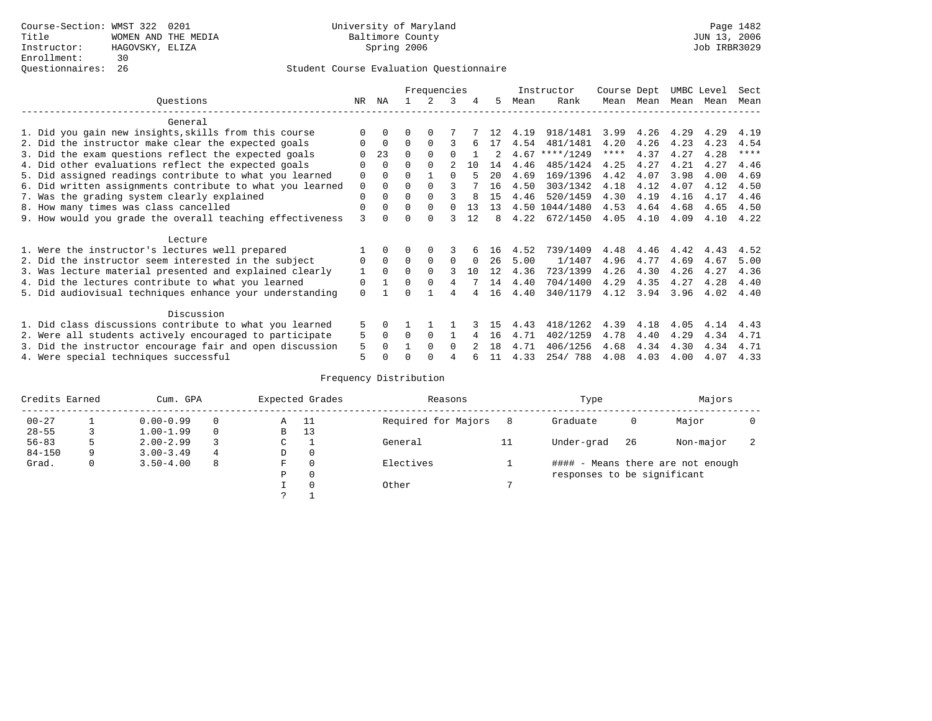|                                                           |               |          |          | Frequencies |              |          |    |      | Instructor     | Course Dept |           | UMBC Level |      | Sect        |
|-----------------------------------------------------------|---------------|----------|----------|-------------|--------------|----------|----|------|----------------|-------------|-----------|------------|------|-------------|
| Ouestions                                                 | NR            | ΝA       |          | 2.          | 3            | 4        | 5. | Mean | Rank           |             | Mean Mean | Mean       | Mean | Mean        |
| General                                                   |               |          |          |             |              |          |    |      |                |             |           |            |      |             |
| 1. Did you gain new insights, skills from this course     |               | $\Omega$ | 0        | $\Omega$    |              |          | 12 | 4.19 | 918/1481       | 3.99        | 4.26      | 4.29       | 4.29 | 4.19        |
| 2. Did the instructor make clear the expected goals       | O             | $\Omega$ | $\Omega$ | $\Omega$    | 3            |          | 17 | 4.54 | 481/1481       | 4.20        | 4.26      | 4.23       | 4.23 | 4.54        |
| 3. Did the exam questions reflect the expected goals      |               | 23       | 0        | $\Omega$    |              |          |    | 4.67 | $***/1249$     | ****        | 4.37      | 4.27       | 4.28 | $***$ * * * |
| 4. Did other evaluations reflect the expected goals       | O             | $\Omega$ | 0        | $\Omega$    |              | 10       | 14 | 4.46 | 485/1424       | 4.25        | 4.27      | 4.21       | 4.27 | 4.46        |
| 5. Did assigned readings contribute to what you learned   | 0             | $\Omega$ | 0        |             | $\Omega$     |          | 20 | 4.69 | 169/1396       | 4.42        | 4.07      | 3.98       | 4.00 | 4.69        |
| 6. Did written assignments contribute to what you learned | 0             | $\Omega$ | 0        | $\Omega$    |              |          | 16 | 4.50 | 303/1342       | 4.18        | 4.12      | 4.07       | 4.12 | 4.50        |
| 7. Was the grading system clearly explained               | 0             | $\Omega$ | U        | $\Omega$    |              |          | 15 | 4.46 | 520/1459       | 4.30        | 4.19      | 4.16       | 4.17 | 4.46        |
| 8. How many times was class cancelled                     | 0             | $\Omega$ | $\Omega$ | $\Omega$    | <sup>0</sup> | 13       | 13 |      | 4.50 1044/1480 | 4.53        | 4.64      | 4.68       | 4.65 | 4.50        |
| 9. How would you grade the overall teaching effectiveness | $\mathcal{L}$ | $\cap$   | U        | $\cap$      |              | 12       | 8  | 4.22 | 672/1450       | 4.05        | 4.10      | 4.09       | 4.10 | 4.22        |
| Lecture                                                   |               |          |          |             |              |          |    |      |                |             |           |            |      |             |
| 1. Were the instructor's lectures well prepared           |               |          |          |             |              |          | 16 | 4.52 | 739/1409       | 4.48        | 4.46      | 4.42       | 4.43 | 4.52        |
| 2. Did the instructor seem interested in the subject      | 0             | $\Omega$ | $\Omega$ | $\Omega$    | $\Omega$     | $\Omega$ | 26 | 5.00 | 1/1407         | 4.96        | 4.77      | 4.69       | 4.67 | 5.00        |
| 3. Was lecture material presented and explained clearly   | 1             | $\Omega$ | $\Omega$ | $\Omega$    | 3            | 10       | 12 | 4.36 | 723/1399       | 4.26        | 4.30      | 4.26       | 4.27 | 4.36        |
| 4. Did the lectures contribute to what you learned        | 0             |          | 0        | $\Omega$    | 4            |          | 14 | 4.40 | 704/1400       | 4.29        | 4.35      | 4.27       | 4.28 | 4.40        |
| 5. Did audiovisual techniques enhance your understanding  | $\Omega$      |          |          |             |              |          | 16 | 4.40 | 340/1179       | 4.12        | 3.94      | 3.96       | 4.02 | 4.40        |
| Discussion                                                |               |          |          |             |              |          |    |      |                |             |           |            |      |             |
| 1. Did class discussions contribute to what you learned   | 5             | $\Omega$ |          |             |              |          | 15 | 4.43 | 418/1262       | 4.39        | 4.18      | 4.05       | 4.14 | 4.43        |
| 2. Were all students actively encouraged to participate   | 5             | $\Omega$ | U        | $\Omega$    |              | 4        | 16 | 4.71 | 402/1259       | 4.78        | 4.40      | 4.29       | 4.34 | 4.71        |
| 3. Did the instructor encourage fair and open discussion  | 5             |          |          | $\Omega$    | <sup>0</sup> |          | 18 | 4.71 | 406/1256       | 4.68        | 4.34      | 4.30       | 4.34 | 4.71        |
| 4. Were special techniques successful                     | 5             |          |          |             |              |          | 11 | 4.33 | 254/788        | 4.08        | 4.03      | 4.00       | 4.07 | 4.33        |

| Credits Earned |   | Cum. GPA      |          |   | Expected Grades | Reasons             |    | Type                        |     | Majors                            |  |
|----------------|---|---------------|----------|---|-----------------|---------------------|----|-----------------------------|-----|-----------------------------------|--|
| $00 - 27$      |   | $0.00 - 0.99$ |          | Α | - 11            | Required for Majors |    | Graduate                    | 0   | Major                             |  |
| $28 - 55$      |   | $1.00 - 1.99$ | $\Omega$ | B | 13              |                     |    |                             |     |                                   |  |
| $56 - 83$      |   | $2.00 - 2.99$ |          | C |                 | General             | 11 | Under-grad                  | -26 | Non-major                         |  |
| $84 - 150$     | q | $3.00 - 3.49$ | 4        | D | 0               |                     |    |                             |     |                                   |  |
| Grad.          |   | $3.50 - 4.00$ | 8        | F | $\Omega$        | Electives           |    |                             |     | #### - Means there are not enough |  |
|                |   |               |          | Ρ | 0               |                     |    | responses to be significant |     |                                   |  |
|                |   |               |          |   | $\Omega$        | Other               |    |                             |     |                                   |  |
|                |   |               |          |   |                 |                     |    |                             |     |                                   |  |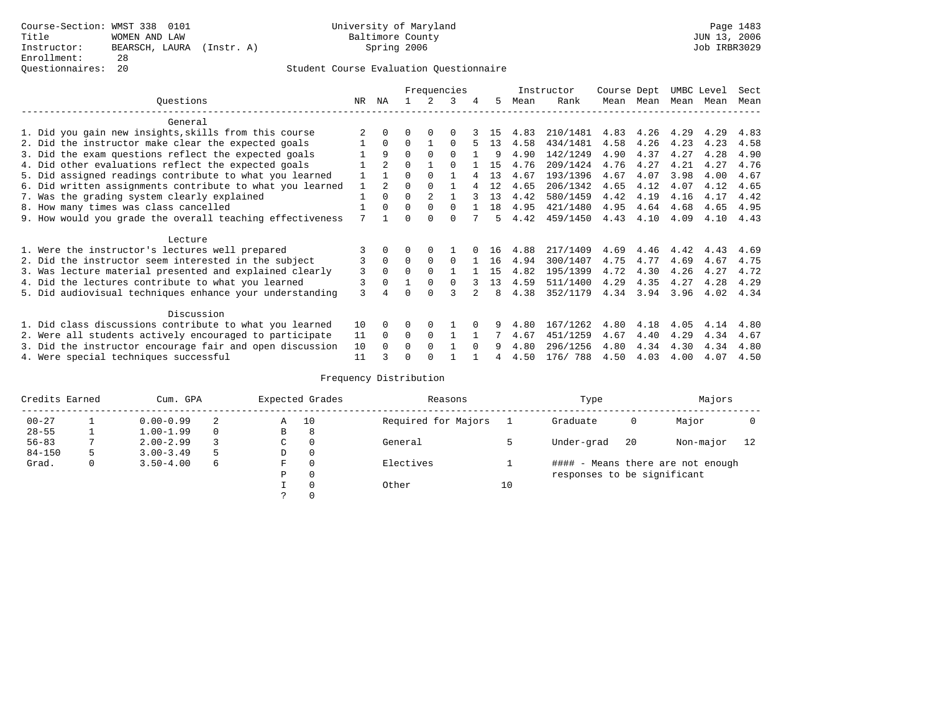## Questionnaires: 20 Student Course Evaluation Questionnaire

|                                                           |     |                |          |             | Frequencies  |        |    |      | Instructor | Course Dept |      | UMBC Level |      | Sect |
|-----------------------------------------------------------|-----|----------------|----------|-------------|--------------|--------|----|------|------------|-------------|------|------------|------|------|
| Questions                                                 | NR. | ΝA             |          |             | 3            | 4      | 5. | Mean | Rank       | Mean        | Mean | Mean       | Mean | Mean |
| General                                                   |     |                |          |             |              |        |    |      |            |             |      |            |      |      |
| 1. Did you gain new insights, skills from this course     |     |                | U        | $\Omega$    | O            |        | 15 | 4.83 | 210/1481   | 4.83        | 4.26 | 4.29       | 4.29 | 4.83 |
| 2. Did the instructor make clear the expected goals       |     | $\Omega$       | $\Omega$ |             | $\Omega$     |        | 13 | 4.58 | 434/1481   | 4.58        | 4.26 | 4.23       | 4.23 | 4.58 |
| 3. Did the exam questions reflect the expected goals      |     | 9              | 0        | $\Omega$    | $\Omega$     |        | 9  | 4.90 | 142/1249   | 4.90        | 4.37 | 4.27       | 4.28 | 4.90 |
| 4. Did other evaluations reflect the expected goals       |     | $\overline{a}$ | 0        |             | $\Omega$     |        | 15 | 4.76 | 209/1424   | 4.76        | 4.27 | 4.21       | 4.27 | 4.76 |
| 5. Did assigned readings contribute to what you learned   |     |                | 0        | $\Omega$    |              |        | 13 | 4.67 | 193/1396   | 4.67        | 4.07 | 3.98       | 4.00 | 4.67 |
| 6. Did written assignments contribute to what you learned |     | $2^{1}$        | 0        |             |              |        | 12 | 4.65 | 206/1342   | 4.65        | 4.12 | 4.07       | 4.12 | 4.65 |
| 7. Was the grading system clearly explained               |     | $\Omega$       | 0        |             |              |        | 13 | 4.42 | 580/1459   | 4.42        | 4.19 | 4.16       | 4.17 | 4.42 |
| 8. How many times was class cancelled                     |     | $\Omega$       | $\Omega$ | $\Omega$    | 0            |        | 18 | 4.95 | 421/1480   | 4.95        | 4.64 | 4.68       | 4.65 | 4.95 |
| 9. How would you grade the overall teaching effectiveness | 7   |                |          | $\cap$      | U            |        |    | 4.42 | 459/1450   | 4.43        | 4.10 | 4.09       | 4.10 | 4.43 |
| Lecture                                                   |     |                |          |             |              |        |    |      |            |             |      |            |      |      |
| 1. Were the instructor's lectures well prepared           |     |                |          |             |              |        | 16 | 4.88 | 217/1409   | 4.69        | 4.46 | 4.42       | 4.43 | 4.69 |
| 2. Did the instructor seem interested in the subject      | 3   | $\mathbf{0}$   | $\Omega$ | $\Omega$    | $\Omega$     |        | 16 | 4.94 | 300/1407   | 4.75        | 4.77 | 4.69       | 4.67 | 4.75 |
| 3. Was lecture material presented and explained clearly   | 3   | $\Omega$       | O        | $\Omega$    |              |        | 15 | 4.82 | 195/1399   | 4.72        | 4.30 | 4.26       | 4.27 | 4.72 |
| 4. Did the lectures contribute to what you learned        | 3   | $\Omega$       |          | $\Omega$    | <sup>0</sup> |        | 13 | 4.59 | 511/1400   | 4.29        | 4.35 | 4.27       | 4.28 | 4.29 |
| 5. Did audiovisual techniques enhance your understanding  | ζ   |                |          | U           |              |        | 8  | 4.38 | 352/1179   | 4.34        | 3.94 | 3.96       | 4.02 | 4.34 |
| Discussion                                                |     |                |          |             |              |        |    |      |            |             |      |            |      |      |
| 1. Did class discussions contribute to what you learned   | 10  | $\Omega$       | U        | $\Omega$    |              |        |    | 4.80 | 167/1262   | 4.80        | 4.18 | 4.05       | 4.14 | 4.80 |
| 2. Were all students actively encouraged to participate   | 11  | $\Omega$       | $\Omega$ | $\mathbf 0$ |              |        |    | 4.67 | 451/1259   | 4.67        | 4.40 | 4.29       | 4.34 | 4.67 |
| 3. Did the instructor encourage fair and open discussion  | 10  |                | U        | $\Omega$    |              | $\cap$ | 9  | 4.80 | 296/1256   | 4.80        | 4.34 | 4.30       | 4.34 | 4.80 |
| 4. Were special techniques successful                     | 11  |                |          |             |              |        |    | 4.50 | 176/ 788   | 4.50        | 4.03 | 4.00       | 4.07 | 4.50 |

| Credits Earned |   | Cum. GPA      |    |               | Expected Grades | Reasons             |    | Type                        |    | Majors                            |    |
|----------------|---|---------------|----|---------------|-----------------|---------------------|----|-----------------------------|----|-----------------------------------|----|
| $00 - 27$      |   | $0.00 - 0.99$ | 2  | Α             | 10              | Required for Majors |    | Graduate                    | 0  | Major                             |    |
| $28 - 55$      |   | $1.00 - 1.99$ |    | B             | 8               |                     |    |                             |    |                                   |    |
| $56 - 83$      |   | $2.00 - 2.99$ |    | $\sim$<br>◡   | 0               | General             |    | Under-grad                  | 20 | Non-major                         | 12 |
| $84 - 150$     | 5 | $3.00 - 3.49$ | -5 | D             | 0               |                     |    |                             |    |                                   |    |
| Grad.          | 0 | $3.50 - 4.00$ | 6  | F             | 0               | Electives           |    |                             |    | #### - Means there are not enough |    |
|                |   |               |    | Ρ             | 0               |                     |    | responses to be significant |    |                                   |    |
|                |   |               |    |               | 0               | Other               | 10 |                             |    |                                   |    |
|                |   |               |    | $\mathcal{L}$ |                 |                     |    |                             |    |                                   |    |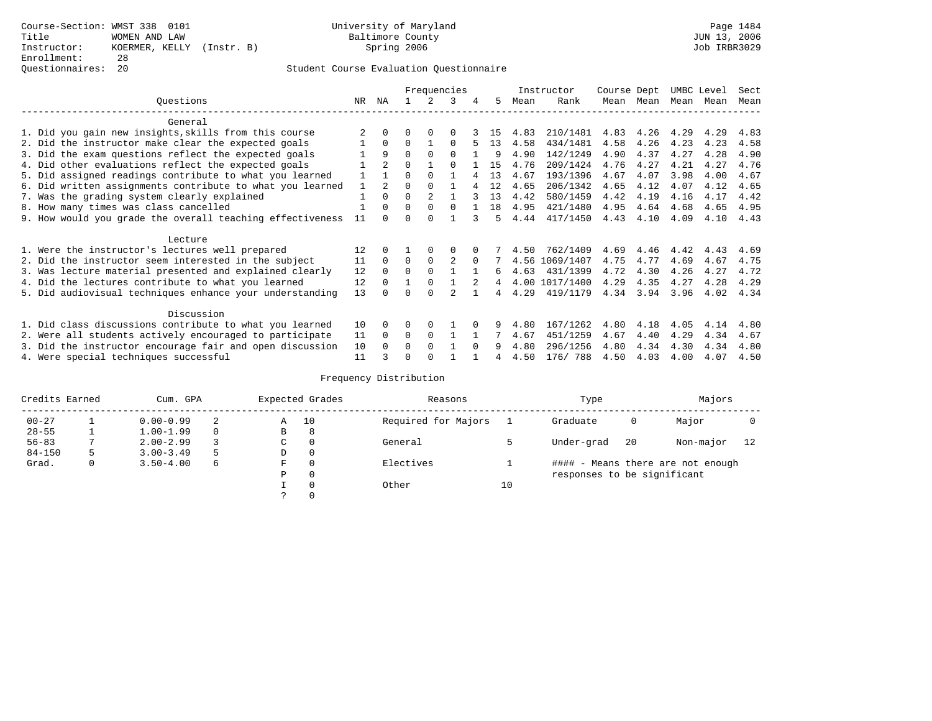## Questionnaires: 20 Student Course Evaluation Questionnaire

|                                                           |    |                |              |                | Frequencies |          |    |      | Instructor     | Course Dept |           |      | UMBC Level | Sect |
|-----------------------------------------------------------|----|----------------|--------------|----------------|-------------|----------|----|------|----------------|-------------|-----------|------|------------|------|
| Ouestions                                                 | NR | ΝA             |              | 2              | 3           | 4        | 5  | Mean | Rank           |             | Mean Mean |      | Mean Mean  | Mean |
| General                                                   |    |                |              |                |             |          |    |      |                |             |           |      |            |      |
| 1. Did you gain new insights, skills from this course     |    | <sup>0</sup>   | U            | $\Omega$       |             |          | 15 | 4.83 | 210/1481       | 4.83        | 4.26      | 4.29 | 4.29       | 4.83 |
| 2. Did the instructor make clear the expected goals       |    | $\Omega$       | <sup>0</sup> |                | 0           |          | 13 | 4.58 | 434/1481       | 4.58        | 4.26      | 4.23 | 4.23       | 4.58 |
| 3. Did the exam questions reflect the expected goals      |    | 9              | 0            | $\Omega$       | $\Omega$    |          | q  | 4.90 | 142/1249       | 4.90        | 4.37      | 4.27 | 4.28       | 4.90 |
| 4. Did other evaluations reflect the expected goals       |    | $\overline{2}$ | $\Omega$     |                |             |          | 15 | 4.76 | 209/1424       | 4.76        | 4.27      | 4.21 | 4.27       | 4.76 |
| 5. Did assigned readings contribute to what you learned   |    |                | 0            | $\Omega$       |             |          | 13 | 4.67 | 193/1396       | 4.67        | 4.07      | 3.98 | 4.00       | 4.67 |
| 6. Did written assignments contribute to what you learned |    | $\mathcal{L}$  | U            | $\Omega$       |             |          | 12 | 4.65 | 206/1342       | 4.65        | 4.12      | 4.07 | 4.12       | 4.65 |
| 7. Was the grading system clearly explained               |    | $\Omega$       | U            | $\overline{a}$ |             |          | 13 | 4.42 | 580/1459       | 4.42        | 4.19      | 4.16 | 4.17       | 4.42 |
| 8. How many times was class cancelled                     |    | $\Omega$       | $\Omega$     | $\Omega$       | $\cap$      |          | 18 | 4.95 | 421/1480       | 4.95        | 4.64      | 4.68 | 4.65       | 4.95 |
| 9. How would you grade the overall teaching effectiveness | 11 |                |              |                |             |          | 5  | 4.44 | 417/1450       | 4.43        | 4.10      | 4.09 | 4.10       | 4.43 |
| Lecture                                                   |    |                |              |                |             |          |    |      |                |             |           |      |            |      |
| 1. Were the instructor's lectures well prepared           | 12 |                |              |                |             |          |    | 4.50 | 762/1409       | 4.69        | 4.46      | 4.42 | 4.43       | 4.69 |
| 2. Did the instructor seem interested in the subject      | 11 | $\Omega$       | $\Omega$     | $\Omega$       | 2           | $\Omega$ |    |      | 4.56 1069/1407 | 4.75        | 4.77      | 4.69 | 4.67       | 4.75 |
| 3. Was lecture material presented and explained clearly   | 12 | $\Omega$       | 0            | $\Omega$       |             |          | б. | 4.63 | 431/1399       | 4.72        | 4.30      | 4.26 | 4.27       | 4.72 |
| 4. Did the lectures contribute to what you learned        | 12 | $\Omega$       |              | $\Omega$       |             |          | 4  |      | 4.00 1017/1400 | 4.29        | 4.35      | 4.27 | 4.28       | 4.29 |
| 5. Did audiovisual techniques enhance your understanding  | 13 |                |              | <sup>n</sup>   |             |          | 4  | 4.29 | 419/1179       | 4.34        | 3.94      | 3.96 | 4.02       | 4.34 |
| Discussion                                                |    |                |              |                |             |          |    |      |                |             |           |      |            |      |
| 1. Did class discussions contribute to what you learned   | 10 |                |              |                |             |          |    | 4.80 | 167/1262       | 4.80        | 4.18      | 4.05 | 4.14       | 4.80 |
| 2. Were all students actively encouraged to participate   | 11 | $\Omega$       | 0            | 0              |             |          |    | 4.67 | 451/1259       | 4.67        | 4.40      | 4.29 | 4.34       | 4.67 |
| 3. Did the instructor encourage fair and open discussion  | 10 |                |              | <sup>0</sup>   |             |          |    | 4.80 | 296/1256       | 4.80        | 4.34      | 4.30 | 4.34       | 4.80 |
| 4. Were special techniques successful                     | 11 |                |              |                |             |          |    | 4.50 | 176/788        | 4.50        | 4.03      | 4.00 | 4.07       | 4.50 |

| Credits Earned |   | Cum. GPA      |   |               | Expected Grades | Reasons             |    | Type                        |    | Majors                            |    |
|----------------|---|---------------|---|---------------|-----------------|---------------------|----|-----------------------------|----|-----------------------------------|----|
| $00 - 27$      |   | $0.00 - 0.99$ | 2 | A             | 10              | Required for Majors |    | Graduate                    | 0  | Major                             |    |
| $28 - 55$      |   | $1.00 - 1.99$ |   | В             | 8               |                     |    |                             |    |                                   |    |
| $56 - 83$      |   | $2.00 - 2.99$ |   | C             | $\Omega$        | General             |    | Under-grad                  | 20 | Non-major                         | 12 |
| $84 - 150$     | 5 | $3.00 - 3.49$ |   | D             | $\Omega$        |                     |    |                             |    |                                   |    |
| Grad.          | 0 | $3.50 - 4.00$ | 6 | F             | $\Omega$        | Electives           |    |                             |    | #### - Means there are not enough |    |
|                |   |               |   | Ρ             | $\Omega$        |                     |    | responses to be significant |    |                                   |    |
|                |   |               |   |               | $\Omega$        | Other               | 10 |                             |    |                                   |    |
|                |   |               |   | $\mathcal{L}$ | $\Omega$        |                     |    |                             |    |                                   |    |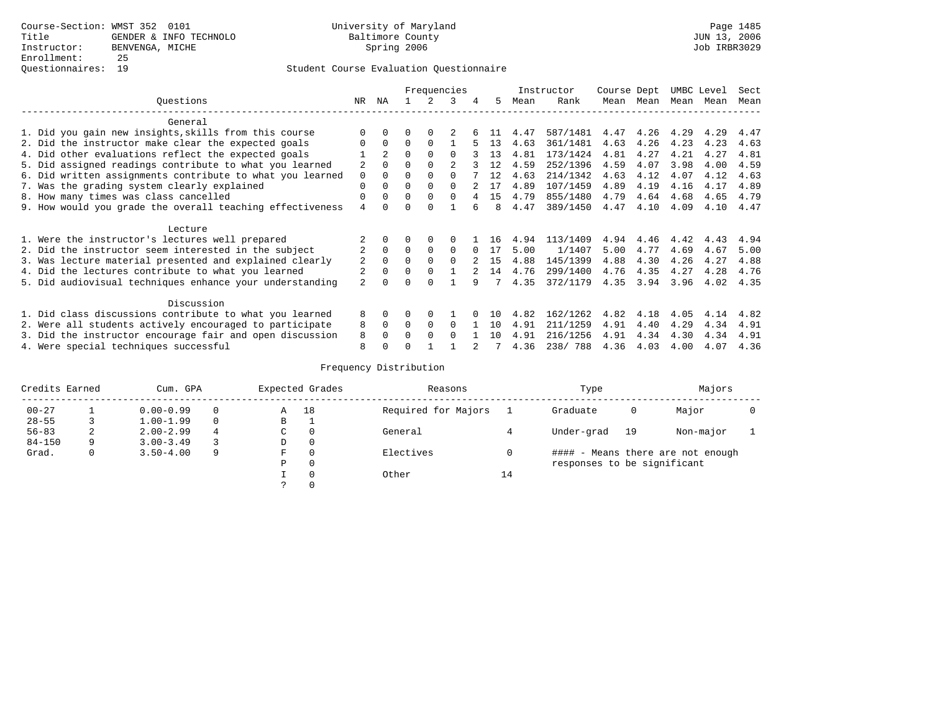|                                                           |                |          |          |          | Frequencies  |              |     |      | Instructor | Course Dept |           | UMBC Level |      | Sect |
|-----------------------------------------------------------|----------------|----------|----------|----------|--------------|--------------|-----|------|------------|-------------|-----------|------------|------|------|
| Ouestions                                                 | NR.            | ΝA       |          |          | 3            | 4            | 5.  | Mean | Rank       | Mean        | Mean      | Mean       | Mean | Mean |
| General                                                   |                |          |          |          |              |              |     |      |            |             |           |            |      |      |
| 1. Did you gain new insights, skills from this course     |                |          |          |          |              |              |     | 4.47 | 587/1481   | 4.47        | 4.26 4.29 |            | 4.29 | 4.47 |
| 2. Did the instructor make clear the expected goals       | $\Omega$       | $\Omega$ | O        | $\Omega$ |              |              | 13  | 4.63 | 361/1481   | 4.63        | 4.26      | 4.23       | 4.23 | 4.63 |
| 4. Did other evaluations reflect the expected goals       |                |          | $\Omega$ | $\Omega$ | $\cap$       |              | 13  | 4.81 | 173/1424   | 4.81        | 4.27      | 4.21       | 4.27 | 4.81 |
| 5. Did assigned readings contribute to what you learned   |                |          | O        |          |              |              |     | 4.59 | 252/1396   | 4.59        | 4.07      | 3.98       | 4.00 | 4.59 |
| 6. Did written assignments contribute to what you learned | 0              |          | $\Omega$ |          | $\cap$       |              | 12  | 4.63 | 214/1342   | 4.63        | 4.12      | 4.07       | 4.12 | 4.63 |
| 7. Was the grading system clearly explained               | $\Omega$       |          | O        |          | $\cap$       |              |     | 4.89 | 107/1459   | 4.89        | 4.19      | 4.16       | 4.17 | 4.89 |
| 8. How many times was class cancelled                     | $\Omega$       | 0        | $\Omega$ | $\Omega$ | $\Omega$     |              | 15  | 4.79 | 855/1480   | 4.79        | 4.64      | 4.68       | 4.65 | 4.79 |
| 9. How would you grade the overall teaching effectiveness | 4              |          | U        | ∩        |              |              |     | 4.47 | 389/1450   | 4.47        | 4.10      | 4.09       | 4.10 | 4.47 |
| Lecture                                                   |                |          |          |          |              |              |     |      |            |             |           |            |      |      |
| 1. Were the instructor's lectures well prepared           |                |          | 0        | $\Omega$ | <sup>0</sup> |              | 16  | 4.94 | 113/1409   | 4.94        | 4.46      | 4.42       | 4.43 | 4.94 |
| 2. Did the instructor seem interested in the subject      |                | $\Omega$ | $\Omega$ | $\Omega$ | $\Omega$     | <sup>n</sup> | 17  | 5.00 | 1/1407     | 5.00        | 4.77      | 4.69       | 4.67 | 5.00 |
| 3. Was lecture material presented and explained clearly   | 2              | $\Omega$ | $\Omega$ | $\Omega$ | $\cap$       |              | 15  | 4.88 | 145/1399   | 4.88        | 4.30      | 4.26       | 4.27 | 4.88 |
| 4. Did the lectures contribute to what you learned        | $\overline{2}$ | $\Omega$ | $\Omega$ | $\Omega$ |              |              | 14  | 4.76 | 299/1400   | 4.76        | 4.35      | 4.27       | 4.28 | 4.76 |
| 5. Did audiovisual techniques enhance your understanding  | 2              |          | U        | $\Omega$ |              | 9            |     | 4.35 | 372/1179   | 4.35        | 3.94 3.96 |            | 4.02 | 4.35 |
| Discussion                                                |                |          |          |          |              |              |     |      |            |             |           |            |      |      |
| 1. Did class discussions contribute to what you learned   | 8              | 0        | 0        | $\Omega$ |              |              | 1 O | 4.82 | 162/1262   | 4.82        | 4.18      | 4.05       | 4.14 | 4.82 |
| 2. Were all students actively encouraged to participate   | 8              | $\Omega$ | $\Omega$ | $\Omega$ | $\Omega$     |              | 1 O | 4.91 | 211/1259   | 4.91        | 4.40      | 4.29       | 4.34 | 4.91 |
| 3. Did the instructor encourage fair and open discussion  | 8              |          | $\Omega$ | $\cap$   | $\cap$       |              | 10  | 4.91 | 216/1256   | 4.91        | 4.34      | 4.30       | 4.34 | 4.91 |
| 4. Were special techniques successful                     | 8              |          |          |          |              |              |     | 4.36 | 238/788    | 4.36        | 4.03      | 4.00       | 4.07 | 4.36 |

| Credits Earned |   | Cum. GPA                 |   |   | Expected Grades     | Reasons   |          | Type                        | Majors |                                   |  |
|----------------|---|--------------------------|---|---|---------------------|-----------|----------|-----------------------------|--------|-----------------------------------|--|
| $00 - 27$      |   | $0.00 - 0.99$<br>18<br>Α |   |   | Required for Majors |           | Graduate | 0                           | Major  |                                   |  |
| $28 - 55$      |   | $1.00 - 1.99$            |   | В |                     |           |          |                             |        |                                   |  |
| $56 - 83$      | ∠ | $2.00 - 2.99$            | 4 | C | $\Omega$            | General   |          | Under-grad                  | 19     | Non-major                         |  |
| $84 - 150$     | a | $3.00 - 3.49$            |   | D | $\Omega$            |           |          |                             |        |                                   |  |
| Grad.          | 0 | $3.50 - 4.00$            | 9 | F | $\Omega$            | Electives |          |                             |        | #### - Means there are not enough |  |
|                |   |                          |   | P | $\Omega$            |           |          | responses to be significant |        |                                   |  |
|                |   |                          |   |   | $\Omega$            | Other     | 14       |                             |        |                                   |  |
|                |   |                          |   |   |                     |           |          |                             |        |                                   |  |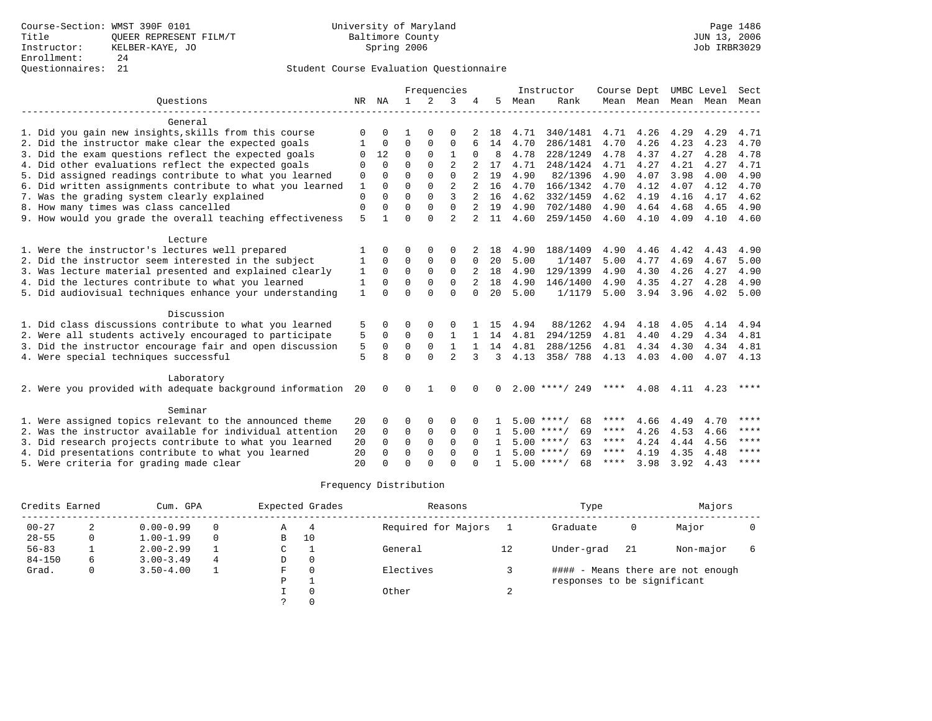## Questionnaires: 21 Student Course Evaluation Questionnaire

|                                                           |              |          | Frequencies          |             |                         |                |               |      | Instructor         | Course Dept |                          | UMBC Level   |              | Sect                |
|-----------------------------------------------------------|--------------|----------|----------------------|-------------|-------------------------|----------------|---------------|------|--------------------|-------------|--------------------------|--------------|--------------|---------------------|
| Ouestions                                                 | NR           | NA       | 1                    | 2           | 3                       |                | 5             | Mean | Rank               |             | Mean Mean Mean Mean Mean |              |              |                     |
| General                                                   |              |          |                      |             |                         |                |               |      |                    |             |                          |              |              |                     |
| 1. Did you gain new insights, skills from this course     | $\Omega$     | $\Omega$ |                      | $\Omega$    | $\Omega$                |                | 18            | 4.71 | 340/1481           | 4.71        | 4.26                     | 4.29         | 4.29         | 4.71                |
| 2. Did the instructor make clear the expected goals       |              | $\Omega$ | $\Omega$             | $\Omega$    | $\Omega$                |                | 14            | 4.70 | 286/1481           | 4.70        | 4.26                     | 4.23         | 4.23         | 4.70                |
| 3. Did the exam questions reflect the expected goals      | $\Omega$     | 12       | $\Omega$             | $\Omega$    | $\mathbf{1}$            | $\Omega$       | 8             | 4.78 | 228/1249           | 4.78        | 4.37                     | 4.27         | 4.28         | 4.78                |
| 4. Did other evaluations reflect the expected goals       | $\Omega$     | $\Omega$ | $\Omega$             | $\Omega$    | $\overline{c}$          |                | 17            | 4.71 | 248/1424           | 4.71        | 4.27                     | 4.21         | 4.27         | 4.71                |
| 5. Did assigned readings contribute to what you learned   | 0            | $\Omega$ | $\Omega$             | $\Omega$    | $\Omega$                |                | 19            | 4.90 | 82/1396            | 4.90        | 4.07                     | 3.98         | 4.00         | 4.90                |
| 6. Did written assignments contribute to what you learned | 1            | 0        | $\Omega$             | $\Omega$    | $\overline{c}$          |                | 16            | 4.70 | 166/1342           | 4.70        | 4.12                     | 4.07         | 4.12         | 4.70                |
| 7. Was the grading system clearly explained               | $\mathbf{0}$ | 0        | $\Omega$             | $\Omega$    | ς                       |                | 16            | 4.62 | 332/1459           | 4.62        | 4.19                     | 4.16         | 4.17         | 4.62                |
| 8. How many times was class cancelled                     | $\mathbf 0$  | $\Omega$ | $\Omega$             | $\Omega$    | $\Omega$                | $\mathfrak{D}$ | 19            | 4.90 | 702/1480           | 4.90        | 4.64                     | 4.68         | 4.65         | 4.90                |
| 9. How would you grade the overall teaching effectiveness | 5            | 1        | $\Omega$             | $\cap$      | $\mathfrak{D}$          | $\mathfrak{D}$ | 11            | 4.60 | 259/1450           | 4.60        | 4.10                     | 4.09         | 4.10         | 4.60                |
|                                                           |              |          |                      |             |                         |                |               |      |                    |             |                          |              |              |                     |
| Lecture                                                   |              |          |                      |             |                         |                |               |      |                    |             |                          |              |              |                     |
| 1. Were the instructor's lectures well prepared           |              | $\Omega$ | O                    | $\Omega$    | 0                       |                | 18            | 4.90 | 188/1409           | 4.90        | 4.46                     | 4.42         | 4.43         | 4.90                |
| 2. Did the instructor seem interested in the subject      | 1            | $\Omega$ | 0                    | 0           | $\mathbf 0$             | $\mathbf 0$    | 20            | 5.00 | 1/1407             | 5.00        | 4.77                     | 4.69         | 4.67         | 5.00                |
| 3. Was lecture material presented and explained clearly   | 1            | $\Omega$ | $\Omega$<br>$\Omega$ | $\mathbf 0$ | $\mathbf 0$<br>$\Omega$ |                | 18<br>18      | 4.90 | 129/1399           | 4.90        | 4.30                     | 4.26<br>4.27 | 4.27<br>4.28 | 4.90                |
| 4. Did the lectures contribute to what you learned        | 1            | $\Omega$ |                      | $\mathbf 0$ |                         | 2              |               | 4.90 | 146/1400           | 4.90        | 4.35                     |              |              | 4.90                |
| 5. Did audiovisual techniques enhance your understanding  | $\mathbf{1}$ | $\Omega$ | $\Omega$             | $\Omega$    | $\Omega$                | $\Omega$       | 20            | 5.00 | 1/1179             | 5.00        | 3.94                     | 3.96         | 4.02         | 5.00                |
| Discussion                                                |              |          |                      |             |                         |                |               |      |                    |             |                          |              |              |                     |
| 1. Did class discussions contribute to what you learned   | 5            | O        | 0                    | $\Omega$    | 0                       |                | 15            | 4.94 | 88/1262            | 4.94        | 4.18                     | 4.05         | 4.14         | 4.94                |
| 2. Were all students actively encouraged to participate   | 5            | 0        | $\Omega$             | $\Omega$    | $\mathbf{1}$            |                | 14            | 4.81 | 294/1259           | 4.81        | 4.40                     | 4.29         | 4.34         | 4.81                |
| 3. Did the instructor encourage fair and open discussion  | 5            | 0        | $\Omega$             | $\Omega$    | $\mathbf{1}$            | $\mathbf{1}$   | 14            | 4.81 | 288/1256           | 4.81        | 4.34                     | 4.30         | 4.34         | 4.81                |
| 4. Were special techniques successful                     | 5            | 8        | $\Omega$             | $\Omega$    | $\mathfrak{D}$          | 3              | $\mathcal{L}$ | 4.13 | 358/788            | 4.13        | 4.03                     | 4.00         | 4.07         | 4.13                |
| Laboratory                                                |              |          |                      |             |                         |                |               |      |                    |             |                          |              |              |                     |
| 2. Were you provided with adequate background information | 20           | $\Omega$ | U                    |             | $\Omega$                |                | 0             |      | $2.00$ ****/ 249   | ****        | 4.08                     | 4.11         | 4.23         | $* * * *$           |
|                                                           |              |          |                      |             |                         |                |               |      |                    |             |                          |              |              |                     |
| Seminar                                                   |              |          |                      |             |                         |                |               |      |                    |             |                          |              |              |                     |
| 1. Were assigned topics relevant to the announced theme   | 20           | $\Omega$ | O                    | 0           | 0                       |                |               |      | $5.00$ ****/<br>68 | ****        | 4.66                     | 4.49         | 4.70         | ****<br>$***$ * * * |
| 2. Was the instructor available for individual attention  | 20           | 0        | $\mathbf 0$          | $\mathbf 0$ | 0                       | $\Omega$       |               |      | $5.00$ ****/<br>69 | ****        | 4.26                     | 4.53         | 4.66         | ****                |
| 3. Did research projects contribute to what you learned   | 20           | $\Omega$ | $\Omega$             | $\Omega$    | $\Omega$                | U              |               |      | $5.00$ ****/<br>63 | ****        | 4.24                     | 4.44         | 4.56         | ****                |
| 4. Did presentations contribute to what you learned       | 20           | $\Omega$ | $\Omega$             | $\Omega$    | $\Omega$                | $\cap$         |               |      | $5.00$ ****/<br>69 | ****        | 4.19                     | 4.35         | 4.48         |                     |
| 5. Were criteria for grading made clear                   | 20           | $\Omega$ | $\Omega$             | $\cap$      | $\cap$                  |                |               |      | $5.00$ ****/<br>68 | ****        | 3.98                     | 3.92         | 4.43         | $***$ * * *         |

| Credits Earned |   | Cum. GPA      |                            |    | Expected Grades | Reasons             |    | Type                              | Majors |           |  |
|----------------|---|---------------|----------------------------|----|-----------------|---------------------|----|-----------------------------------|--------|-----------|--|
| $00 - 27$      |   | $0.00 - 0.99$ |                            | A  |                 | Required for Majors |    | Graduate                          | 0      | Major     |  |
| $28 - 55$      | 0 | $1.00 - 1.99$ |                            | B  | 10              |                     |    |                                   |        |           |  |
| $56 - 83$      |   | $2.00 - 2.99$ |                            | C. |                 | General             | 12 | Under-grad                        | -21    | Non-major |  |
| $84 - 150$     | 6 | $3.00 - 3.49$ | 4                          | D  | 0               |                     |    |                                   |        |           |  |
| Grad.          | 0 | $3.50 - 4.00$ | Electives<br>$\Omega$<br>F |    |                 |                     |    | #### - Means there are not enough |        |           |  |
|                |   |               |                            | Ρ  |                 |                     |    | responses to be significant       |        |           |  |
|                |   |               |                            |    | $\Omega$        | Other               | ▵  |                                   |        |           |  |
|                |   |               |                            |    |                 |                     |    |                                   |        |           |  |